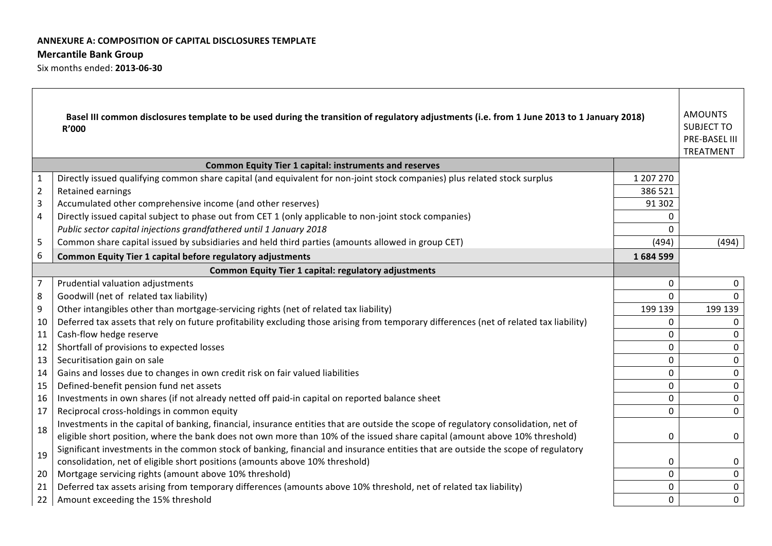### **ANNEXURE A: COMPOSITION OF CAPITAL DISCLOSURES TEMPLATE**

### **Mercantile Bank Group**

Six months ended: **2013-06-30**

| <b>AMOUNTS</b><br>Basel III common disclosures template to be used during the transition of regulatory adjustments (i.e. from 1 June 2013 to 1 January 2018)<br><b>SUBJECT TO</b><br>R'000<br><b>PRE-BASEL III</b><br>TREATMENT |                                                                                                                                         |           |                |  |
|---------------------------------------------------------------------------------------------------------------------------------------------------------------------------------------------------------------------------------|-----------------------------------------------------------------------------------------------------------------------------------------|-----------|----------------|--|
|                                                                                                                                                                                                                                 | <b>Common Equity Tier 1 capital: instruments and reserves</b>                                                                           |           |                |  |
| $\mathbf{1}$                                                                                                                                                                                                                    | Directly issued qualifying common share capital (and equivalent for non-joint stock companies) plus related stock surplus               | 1 207 270 |                |  |
| $\overline{2}$                                                                                                                                                                                                                  | Retained earnings                                                                                                                       | 386 521   |                |  |
| $\overline{3}$                                                                                                                                                                                                                  | Accumulated other comprehensive income (and other reserves)                                                                             | 91 302    |                |  |
| $\overline{4}$                                                                                                                                                                                                                  | Directly issued capital subject to phase out from CET 1 (only applicable to non-joint stock companies)                                  | $\Omega$  |                |  |
|                                                                                                                                                                                                                                 | Public sector capital injections grandfathered until 1 January 2018                                                                     | $\Omega$  |                |  |
| 5                                                                                                                                                                                                                               | Common share capital issued by subsidiaries and held third parties (amounts allowed in group CET)                                       | (494)     | (494)          |  |
| 6                                                                                                                                                                                                                               | Common Equity Tier 1 capital before regulatory adjustments                                                                              | 1684599   |                |  |
|                                                                                                                                                                                                                                 | <b>Common Equity Tier 1 capital: regulatory adjustments</b>                                                                             |           |                |  |
| $\overline{7}$                                                                                                                                                                                                                  | Prudential valuation adjustments                                                                                                        | $\Omega$  | $\Omega$       |  |
| 8                                                                                                                                                                                                                               | Goodwill (net of related tax liability)                                                                                                 | 0         |                |  |
| 9                                                                                                                                                                                                                               | Other intangibles other than mortgage-servicing rights (net of related tax liability)                                                   | 199 139   | 199 139        |  |
| 10                                                                                                                                                                                                                              | Deferred tax assets that rely on future profitability excluding those arising from temporary differences (net of related tax liability) | $\Omega$  | 0              |  |
| 11                                                                                                                                                                                                                              | Cash-flow hedge reserve                                                                                                                 | $\Omega$  | $\Omega$       |  |
| 12                                                                                                                                                                                                                              | Shortfall of provisions to expected losses                                                                                              | $\Omega$  | 0              |  |
| 13                                                                                                                                                                                                                              | Securitisation gain on sale                                                                                                             | 0         | $\Omega$       |  |
| 14                                                                                                                                                                                                                              | Gains and losses due to changes in own credit risk on fair valued liabilities                                                           | 0         | 0              |  |
| 15                                                                                                                                                                                                                              | Defined-benefit pension fund net assets                                                                                                 | $\Omega$  | 0              |  |
| 16                                                                                                                                                                                                                              | Investments in own shares (if not already netted off paid-in capital on reported balance sheet                                          | 0         | 0              |  |
| 17                                                                                                                                                                                                                              | Reciprocal cross-holdings in common equity                                                                                              | $\Omega$  | $\overline{0}$ |  |
| 18                                                                                                                                                                                                                              | Investments in the capital of banking, financial, insurance entities that are outside the scope of regulatory consolidation, net of     |           |                |  |
|                                                                                                                                                                                                                                 | eligible short position, where the bank does not own more than 10% of the issued share capital (amount above 10% threshold)             | 0         | 0              |  |
| 19                                                                                                                                                                                                                              | Significant investments in the common stock of banking, financial and insurance entities that are outside the scope of regulatory       |           |                |  |
|                                                                                                                                                                                                                                 | consolidation, net of eligible short positions (amounts above 10% threshold)                                                            | 0         | 0              |  |
| 20                                                                                                                                                                                                                              | Mortgage servicing rights (amount above 10% threshold)                                                                                  | $\Omega$  | $\mathbf{0}$   |  |
| 21                                                                                                                                                                                                                              | Deferred tax assets arising from temporary differences (amounts above 10% threshold, net of related tax liability)                      | 0         | 0              |  |
| 22                                                                                                                                                                                                                              | Amount exceeding the 15% threshold                                                                                                      | 0         | $\overline{0}$ |  |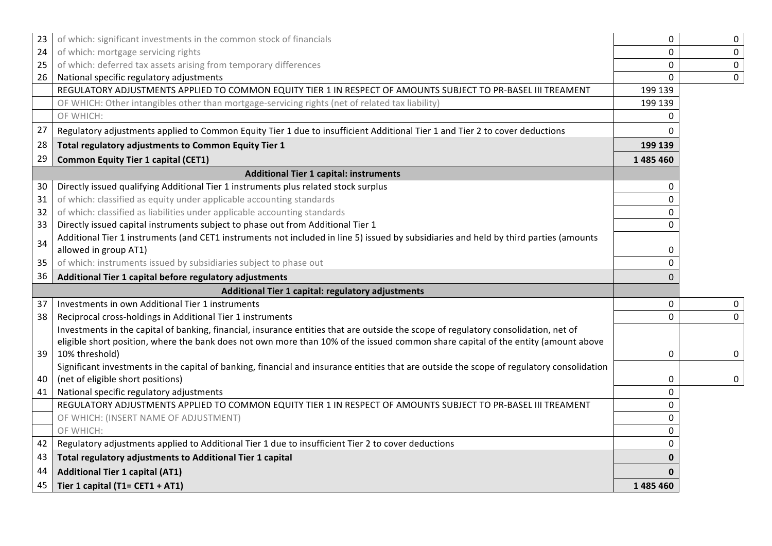| 23 | of which: significant investments in the common stock of financials                                                                        | 0              | $\mathbf 0$ |
|----|--------------------------------------------------------------------------------------------------------------------------------------------|----------------|-------------|
| 24 | of which: mortgage servicing rights                                                                                                        | 0              | $\mathbf 0$ |
| 25 | of which: deferred tax assets arising from temporary differences                                                                           | $\Omega$       | $\mathbf 0$ |
| 26 | National specific regulatory adjustments                                                                                                   | 0              | $\mathbf 0$ |
|    | REGULATORY ADJUSTMENTS APPLIED TO COMMON EQUITY TIER 1 IN RESPECT OF AMOUNTS SUBJECT TO PR-BASEL III TREAMENT                              | 199 139        |             |
|    | OF WHICH: Other intangibles other than mortgage-servicing rights (net of related tax liability)                                            | 199 139        |             |
|    | OF WHICH:                                                                                                                                  | 0              |             |
| 27 | Regulatory adjustments applied to Common Equity Tier 1 due to insufficient Additional Tier 1 and Tier 2 to cover deductions                | 0              |             |
| 28 | Total regulatory adjustments to Common Equity Tier 1                                                                                       | 199 139        |             |
| 29 | <b>Common Equity Tier 1 capital (CET1)</b>                                                                                                 | 1485460        |             |
|    | <b>Additional Tier 1 capital: instruments</b>                                                                                              |                |             |
| 30 | Directly issued qualifying Additional Tier 1 instruments plus related stock surplus                                                        | 0              |             |
| 31 | of which: classified as equity under applicable accounting standards                                                                       | $\Omega$       |             |
| 32 | of which: classified as liabilities under applicable accounting standards                                                                  | 0              |             |
| 33 | Directly issued capital instruments subject to phase out from Additional Tier 1                                                            | $\Omega$       |             |
| 34 | Additional Tier 1 instruments (and CET1 instruments not included in line 5) issued by subsidiaries and held by third parties (amounts      |                |             |
|    | allowed in group AT1)                                                                                                                      | 0              |             |
| 35 | of which: instruments issued by subsidiaries subject to phase out                                                                          | $\Omega$       |             |
| 36 | Additional Tier 1 capital before regulatory adjustments                                                                                    | $\Omega$       |             |
|    | Additional Tier 1 capital: regulatory adjustments                                                                                          |                |             |
| 37 | Investments in own Additional Tier 1 instruments                                                                                           | $\overline{0}$ | 0           |
| 38 | Reciprocal cross-holdings in Additional Tier 1 instruments                                                                                 | 0              | $\mathbf 0$ |
|    | Investments in the capital of banking, financial, insurance entities that are outside the scope of regulatory consolidation, net of        |                |             |
|    | eligible short position, where the bank does not own more than 10% of the issued common share capital of the entity (amount above          |                |             |
| 39 | 10% threshold)                                                                                                                             | 0              | 0           |
|    | Significant investments in the capital of banking, financial and insurance entities that are outside the scope of regulatory consolidation |                |             |
| 40 | (net of eligible short positions)                                                                                                          | 0              | 0           |
| 41 | National specific regulatory adjustments                                                                                                   | $\overline{0}$ |             |
|    | REGULATORY ADJUSTMENTS APPLIED TO COMMON EQUITY TIER 1 IN RESPECT OF AMOUNTS SUBJECT TO PR-BASEL III TREAMENT                              | $\Omega$       |             |
|    | OF WHICH: (INSERT NAME OF ADJUSTMENT)                                                                                                      | 0              |             |
|    | OF WHICH:                                                                                                                                  | $\Omega$       |             |
| 42 | Regulatory adjustments applied to Additional Tier 1 due to insufficient Tier 2 to cover deductions                                         | $\Omega$       |             |
| 43 | Total regulatory adjustments to Additional Tier 1 capital                                                                                  |                |             |
| 44 | <b>Additional Tier 1 capital (AT1)</b>                                                                                                     |                |             |
| 45 | Tier 1 capital (T1= CET1 + AT1)                                                                                                            | 1 485 460      |             |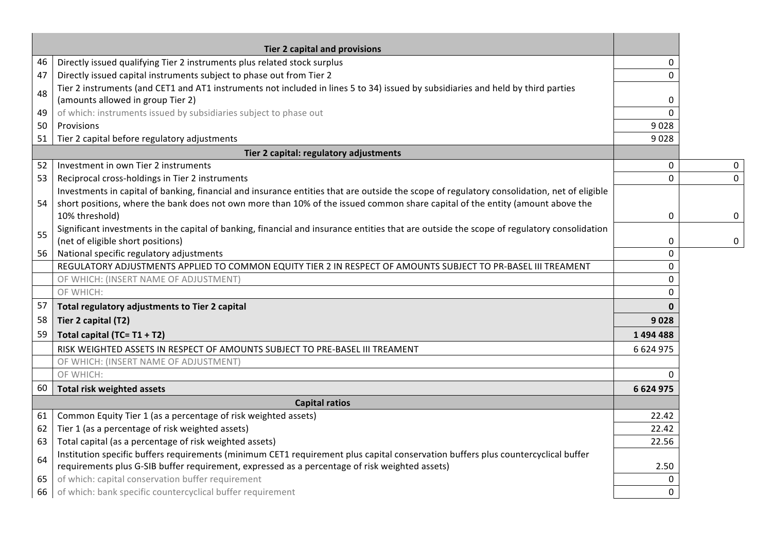|    | <b>Tier 2 capital and provisions</b>                                                                                                        |              |             |
|----|---------------------------------------------------------------------------------------------------------------------------------------------|--------------|-------------|
| 46 | Directly issued qualifying Tier 2 instruments plus related stock surplus                                                                    | 0            |             |
| 47 | Directly issued capital instruments subject to phase out from Tier 2                                                                        | 0            |             |
|    | Tier 2 instruments (and CET1 and AT1 instruments not included in lines 5 to 34) issued by subsidiaries and held by third parties            |              |             |
| 48 | (amounts allowed in group Tier 2)                                                                                                           | $\mathbf 0$  |             |
| 49 | of which: instruments issued by subsidiaries subject to phase out                                                                           | $\Omega$     |             |
| 50 | Provisions                                                                                                                                  | 9028         |             |
| 51 | Tier 2 capital before regulatory adjustments                                                                                                | 9028         |             |
|    | Tier 2 capital: regulatory adjustments                                                                                                      |              |             |
| 52 | Investment in own Tier 2 instruments                                                                                                        | 0            | 0           |
| 53 | Reciprocal cross-holdings in Tier 2 instruments                                                                                             | $\mathbf 0$  | $\mathbf 0$ |
|    | Investments in capital of banking, financial and insurance entities that are outside the scope of regulatory consolidation, net of eligible |              |             |
| 54 | short positions, where the bank does not own more than 10% of the issued common share capital of the entity (amount above the               |              |             |
|    | 10% threshold)                                                                                                                              | $\mathbf 0$  | 0           |
| 55 | Significant investments in the capital of banking, financial and insurance entities that are outside the scope of regulatory consolidation  |              |             |
|    | (net of eligible short positions)                                                                                                           | 0            | 0           |
| 56 | National specific regulatory adjustments                                                                                                    | $\Omega$     |             |
|    | REGULATORY ADJUSTMENTS APPLIED TO COMMON EQUITY TIER 2 IN RESPECT OF AMOUNTS SUBJECT TO PR-BASEL III TREAMENT                               | $\Omega$     |             |
|    | OF WHICH: (INSERT NAME OF ADJUSTMENT)                                                                                                       | $\mathbf{0}$ |             |
|    | OF WHICH:                                                                                                                                   | $\mathbf{0}$ |             |
| 57 | Total regulatory adjustments to Tier 2 capital                                                                                              | $\mathbf{0}$ |             |
| 58 | Tier 2 capital (T2)                                                                                                                         | 9028         |             |
| 59 | Total capital (TC= T1 + T2)                                                                                                                 | 1494488      |             |
|    | RISK WEIGHTED ASSETS IN RESPECT OF AMOUNTS SUBJECT TO PRE-BASEL III TREAMENT                                                                | 6 624 975    |             |
|    | OF WHICH: (INSERT NAME OF ADJUSTMENT)                                                                                                       |              |             |
|    | OF WHICH:                                                                                                                                   | $\Omega$     |             |
| 60 | <b>Total risk weighted assets</b>                                                                                                           | 6 624 975    |             |
|    | <b>Capital ratios</b>                                                                                                                       |              |             |
| 61 | Common Equity Tier 1 (as a percentage of risk weighted assets)                                                                              | 22.42        |             |
| 62 | Tier 1 (as a percentage of risk weighted assets)                                                                                            | 22.42        |             |
| 63 | Total capital (as a percentage of risk weighted assets)                                                                                     | 22.56        |             |
| 64 | Institution specific buffers requirements (minimum CET1 requirement plus capital conservation buffers plus countercyclical buffer           |              |             |
|    | requirements plus G-SIB buffer requirement, expressed as a percentage of risk weighted assets)                                              | 2.50         |             |
| 65 | of which: capital conservation buffer requirement                                                                                           | $\mathbf{0}$ |             |
| 66 | of which: bank specific countercyclical buffer requirement                                                                                  | 0            |             |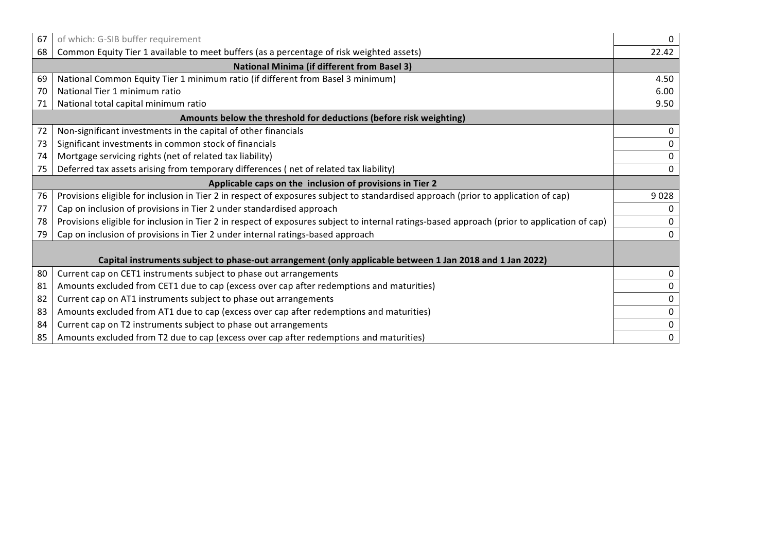| 67                                                       | of which: G-SIB buffer requirement                                                                                                           | 0     |  |
|----------------------------------------------------------|----------------------------------------------------------------------------------------------------------------------------------------------|-------|--|
| 68                                                       | Common Equity Tier 1 available to meet buffers (as a percentage of risk weighted assets)                                                     | 22.42 |  |
|                                                          | <b>National Minima (if different from Basel 3)</b>                                                                                           |       |  |
| 69                                                       | National Common Equity Tier 1 minimum ratio (if different from Basel 3 minimum)                                                              | 4.50  |  |
| 70                                                       | National Tier 1 minimum ratio                                                                                                                | 6.00  |  |
| 71                                                       | National total capital minimum ratio                                                                                                         | 9.50  |  |
|                                                          | Amounts below the threshold for deductions (before risk weighting)                                                                           |       |  |
| 72                                                       | Non-significant investments in the capital of other financials                                                                               | 0     |  |
| 73                                                       | Significant investments in common stock of financials                                                                                        | 0     |  |
| 74                                                       | Mortgage servicing rights (net of related tax liability)                                                                                     | 0     |  |
| 75                                                       | Deferred tax assets arising from temporary differences (net of related tax liability)                                                        | 0     |  |
| Applicable caps on the inclusion of provisions in Tier 2 |                                                                                                                                              |       |  |
| 76                                                       | Provisions eligible for inclusion in Tier 2 in respect of exposures subject to standardised approach (prior to application of cap)           | 9028  |  |
| 77                                                       | Cap on inclusion of provisions in Tier 2 under standardised approach                                                                         |       |  |
| 78                                                       | Provisions eligible for inclusion in Tier 2 in respect of exposures subject to internal ratings-based approach (prior to application of cap) |       |  |
| 79                                                       | Cap on inclusion of provisions in Tier 2 under internal ratings-based approach                                                               |       |  |
|                                                          |                                                                                                                                              |       |  |
|                                                          | Capital instruments subject to phase-out arrangement (only applicable between 1 Jan 2018 and 1 Jan 2022)                                     |       |  |
| 80                                                       | Current cap on CET1 instruments subject to phase out arrangements                                                                            | 0     |  |
| 81                                                       | Amounts excluded from CET1 due to cap (excess over cap after redemptions and maturities)                                                     | 0     |  |
| 82                                                       | Current cap on AT1 instruments subject to phase out arrangements                                                                             | 0     |  |
| 83                                                       | Amounts excluded from AT1 due to cap (excess over cap after redemptions and maturities)                                                      | 0     |  |
| 84                                                       | Current cap on T2 instruments subject to phase out arrangements                                                                              | 0     |  |
| 85                                                       | Amounts excluded from T2 due to cap (excess over cap after redemptions and maturities)                                                       | 0     |  |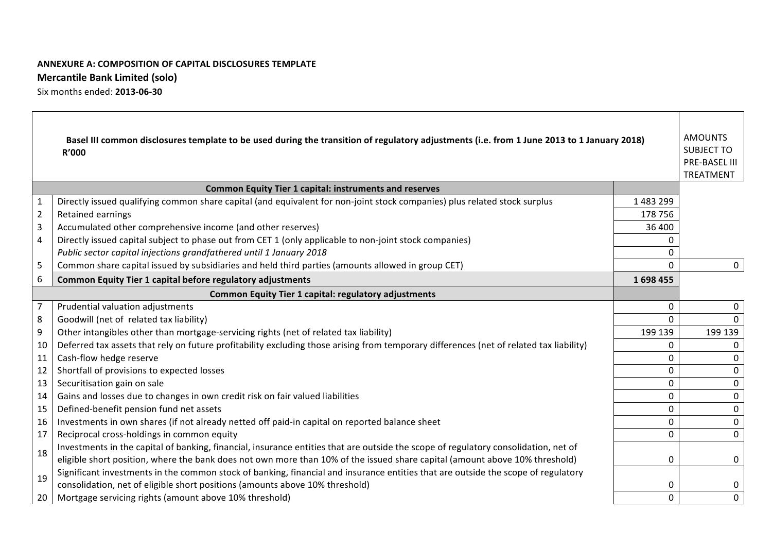# **ANNEXURE A: COMPOSITION OF CAPITAL DISCLOSURES TEMPLATE Mercantile Bank Limited (solo)**

Six months ended: **2013-06-30**

| <b>AMOUNTS</b><br>Basel III common disclosures template to be used during the transition of regulatory adjustments (i.e. from 1 June 2013 to 1 January 2018)<br><b>SUBJECT TO</b><br>R'000<br>PRE-BASEL III<br>TREATMENT |                                                                                                                                                                                                                                                                    |           |                |  |
|--------------------------------------------------------------------------------------------------------------------------------------------------------------------------------------------------------------------------|--------------------------------------------------------------------------------------------------------------------------------------------------------------------------------------------------------------------------------------------------------------------|-----------|----------------|--|
|                                                                                                                                                                                                                          | <b>Common Equity Tier 1 capital: instruments and reserves</b>                                                                                                                                                                                                      |           |                |  |
| $\mathbf{1}$                                                                                                                                                                                                             | Directly issued qualifying common share capital (and equivalent for non-joint stock companies) plus related stock surplus                                                                                                                                          | 1 483 299 |                |  |
| $\overline{2}$                                                                                                                                                                                                           | Retained earnings                                                                                                                                                                                                                                                  | 178 756   |                |  |
| 3                                                                                                                                                                                                                        | Accumulated other comprehensive income (and other reserves)                                                                                                                                                                                                        | 36 400    |                |  |
| 4                                                                                                                                                                                                                        | Directly issued capital subject to phase out from CET 1 (only applicable to non-joint stock companies)                                                                                                                                                             |           |                |  |
|                                                                                                                                                                                                                          | Public sector capital injections grandfathered until 1 January 2018                                                                                                                                                                                                |           |                |  |
| 5                                                                                                                                                                                                                        | Common share capital issued by subsidiaries and held third parties (amounts allowed in group CET)                                                                                                                                                                  | 0         | $\overline{0}$ |  |
| 6                                                                                                                                                                                                                        | Common Equity Tier 1 capital before regulatory adjustments                                                                                                                                                                                                         | 1698455   |                |  |
|                                                                                                                                                                                                                          | <b>Common Equity Tier 1 capital: regulatory adjustments</b>                                                                                                                                                                                                        |           |                |  |
| $\overline{7}$                                                                                                                                                                                                           | Prudential valuation adjustments                                                                                                                                                                                                                                   | 0         | $\mathbf 0$    |  |
| 8                                                                                                                                                                                                                        | Goodwill (net of related tax liability)                                                                                                                                                                                                                            | 0         | $\Omega$       |  |
| 9                                                                                                                                                                                                                        | Other intangibles other than mortgage-servicing rights (net of related tax liability)                                                                                                                                                                              | 199 139   | 199 139        |  |
| 10                                                                                                                                                                                                                       | Deferred tax assets that rely on future profitability excluding those arising from temporary differences (net of related tax liability)                                                                                                                            | 0         | $\Omega$       |  |
| 11                                                                                                                                                                                                                       | Cash-flow hedge reserve                                                                                                                                                                                                                                            | 0         | $\Omega$       |  |
| 12                                                                                                                                                                                                                       | Shortfall of provisions to expected losses                                                                                                                                                                                                                         | 0         | $\Omega$       |  |
| 13                                                                                                                                                                                                                       | Securitisation gain on sale                                                                                                                                                                                                                                        | 0         | $\Omega$       |  |
| 14                                                                                                                                                                                                                       | Gains and losses due to changes in own credit risk on fair valued liabilities                                                                                                                                                                                      | 0         | $\mathbf{0}$   |  |
| 15                                                                                                                                                                                                                       | Defined-benefit pension fund net assets                                                                                                                                                                                                                            | 0         | $\Omega$       |  |
| 16                                                                                                                                                                                                                       | Investments in own shares (if not already netted off paid-in capital on reported balance sheet                                                                                                                                                                     | 0         | $\Omega$       |  |
| 17                                                                                                                                                                                                                       | Reciprocal cross-holdings in common equity                                                                                                                                                                                                                         | $\Omega$  | $\Omega$       |  |
| 18                                                                                                                                                                                                                       | Investments in the capital of banking, financial, insurance entities that are outside the scope of regulatory consolidation, net of<br>eligible short position, where the bank does not own more than 10% of the issued share capital (amount above 10% threshold) | 0         | $\Omega$       |  |
| 19                                                                                                                                                                                                                       | Significant investments in the common stock of banking, financial and insurance entities that are outside the scope of regulatory                                                                                                                                  |           |                |  |
|                                                                                                                                                                                                                          | consolidation, net of eligible short positions (amounts above 10% threshold)                                                                                                                                                                                       | 0         | 0              |  |
| 20                                                                                                                                                                                                                       | Mortgage servicing rights (amount above 10% threshold)                                                                                                                                                                                                             | 0         | $\mathbf 0$    |  |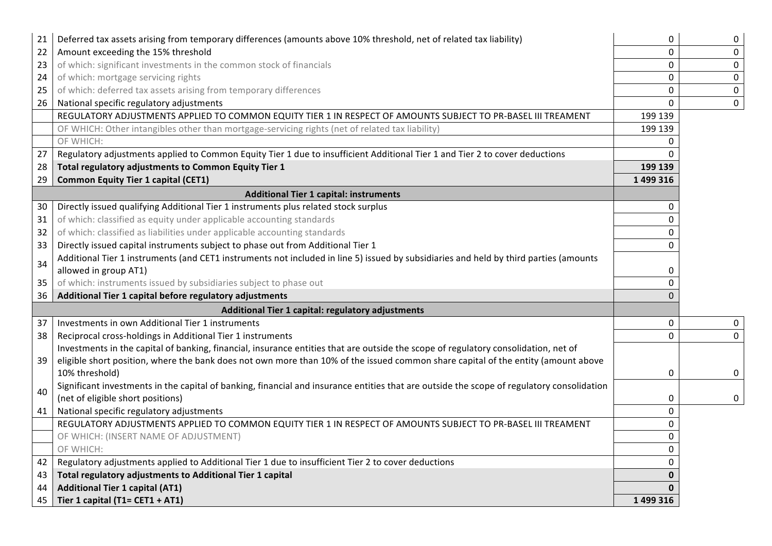| 21 | Deferred tax assets arising from temporary differences (amounts above 10% threshold, net of related tax liability)                         | 0            | 0                |
|----|--------------------------------------------------------------------------------------------------------------------------------------------|--------------|------------------|
| 22 | Amount exceeding the 15% threshold                                                                                                         | $\mathbf 0$  | $\mathbf 0$      |
| 23 | of which: significant investments in the common stock of financials                                                                        | $\mathbf 0$  | $\mathbf 0$      |
| 24 | of which: mortgage servicing rights                                                                                                        | $\mathbf 0$  | $\mathbf 0$      |
| 25 | of which: deferred tax assets arising from temporary differences                                                                           | $\mathbf 0$  | $\boldsymbol{0}$ |
| 26 | National specific regulatory adjustments                                                                                                   | $\mathbf 0$  | $\mathbf 0$      |
|    | REGULATORY ADJUSTMENTS APPLIED TO COMMON EQUITY TIER 1 IN RESPECT OF AMOUNTS SUBJECT TO PR-BASEL III TREAMENT                              | 199 139      |                  |
|    | OF WHICH: Other intangibles other than mortgage-servicing rights (net of related tax liability)                                            | 199 139      |                  |
|    | OF WHICH:                                                                                                                                  | $\mathbf{0}$ |                  |
| 27 | Regulatory adjustments applied to Common Equity Tier 1 due to insufficient Additional Tier 1 and Tier 2 to cover deductions                | 0            |                  |
| 28 | Total regulatory adjustments to Common Equity Tier 1                                                                                       | 199 139      |                  |
| 29 | <b>Common Equity Tier 1 capital (CET1)</b>                                                                                                 | 1 499 316    |                  |
|    | <b>Additional Tier 1 capital: instruments</b>                                                                                              |              |                  |
| 30 | Directly issued qualifying Additional Tier 1 instruments plus related stock surplus                                                        | 0            |                  |
| 31 | of which: classified as equity under applicable accounting standards                                                                       | $\Omega$     |                  |
| 32 | of which: classified as liabilities under applicable accounting standards                                                                  | 0            |                  |
| 33 | Directly issued capital instruments subject to phase out from Additional Tier 1                                                            | $\Omega$     |                  |
| 34 | Additional Tier 1 instruments (and CET1 instruments not included in line 5) issued by subsidiaries and held by third parties (amounts      |              |                  |
|    | allowed in group AT1)                                                                                                                      | 0            |                  |
| 35 | of which: instruments issued by subsidiaries subject to phase out                                                                          | 0            |                  |
| 36 | Additional Tier 1 capital before regulatory adjustments                                                                                    | $\Omega$     |                  |
|    | Additional Tier 1 capital: regulatory adjustments                                                                                          |              |                  |
| 37 | Investments in own Additional Tier 1 instruments                                                                                           | $\Omega$     | 0                |
| 38 | Reciprocal cross-holdings in Additional Tier 1 instruments                                                                                 | $\Omega$     | $\overline{0}$   |
|    | Investments in the capital of banking, financial, insurance entities that are outside the scope of regulatory consolidation, net of        |              |                  |
| 39 | eligible short position, where the bank does not own more than 10% of the issued common share capital of the entity (amount above          |              |                  |
|    | 10% threshold)                                                                                                                             | 0            | 0                |
| 40 | Significant investments in the capital of banking, financial and insurance entities that are outside the scope of regulatory consolidation |              |                  |
|    | (net of eligible short positions)                                                                                                          | 0            | $\mathbf 0$      |
| 41 | National specific regulatory adjustments                                                                                                   | 0            |                  |
|    | REGULATORY ADJUSTMENTS APPLIED TO COMMON EQUITY TIER 1 IN RESPECT OF AMOUNTS SUBJECT TO PR-BASEL III TREAMENT                              | $\Omega$     |                  |
|    | OF WHICH: (INSERT NAME OF ADJUSTMENT)                                                                                                      | $\Omega$     |                  |
|    | OF WHICH:                                                                                                                                  | 0            |                  |
| 42 | Regulatory adjustments applied to Additional Tier 1 due to insufficient Tier 2 to cover deductions                                         | 0            |                  |
| 43 | Total regulatory adjustments to Additional Tier 1 capital                                                                                  | $\mathbf 0$  |                  |
| 44 | <b>Additional Tier 1 capital (AT1)</b>                                                                                                     | 0            |                  |
| 45 | Tier 1 capital (T1= CET1 + AT1)                                                                                                            | 1 499 316    |                  |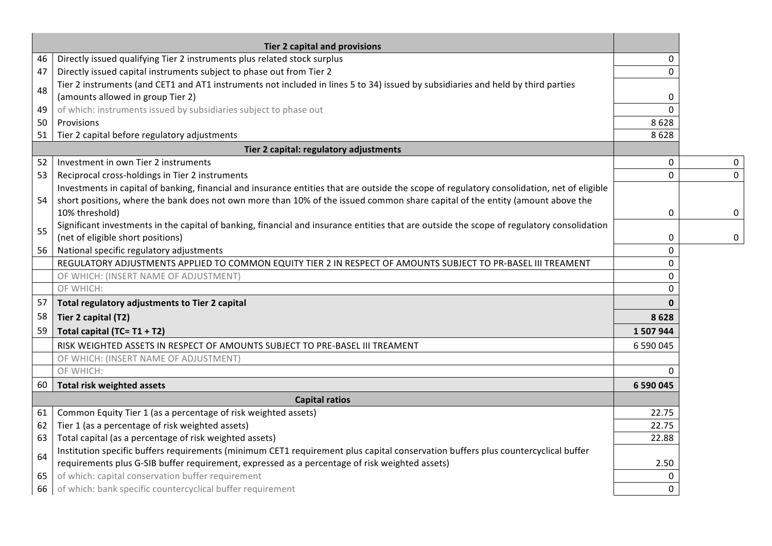|    | <b>Tier 2 capital and provisions</b>                                                                                                        |                |             |
|----|---------------------------------------------------------------------------------------------------------------------------------------------|----------------|-------------|
| 46 | Directly issued qualifying Tier 2 instruments plus related stock surplus                                                                    | 0              |             |
| 47 | Directly issued capital instruments subject to phase out from Tier 2                                                                        | $\Omega$       |             |
|    | Tier 2 instruments (and CET1 and AT1 instruments not included in lines 5 to 34) issued by subsidiaries and held by third parties            |                |             |
| 48 | (amounts allowed in group Tier 2)                                                                                                           | 0              |             |
| 49 | of which: instruments issued by subsidiaries subject to phase out                                                                           | $\Omega$       |             |
| 50 | Provisions                                                                                                                                  | 8628           |             |
| 51 | Tier 2 capital before regulatory adjustments                                                                                                | 8628           |             |
|    | Tier 2 capital: regulatory adjustments                                                                                                      |                |             |
| 52 | Investment in own Tier 2 instruments                                                                                                        | 0              | 0           |
| 53 | Reciprocal cross-holdings in Tier 2 instruments                                                                                             | $\overline{0}$ | $\mathbf 0$ |
|    | Investments in capital of banking, financial and insurance entities that are outside the scope of regulatory consolidation, net of eligible |                |             |
| 54 | short positions, where the bank does not own more than 10% of the issued common share capital of the entity (amount above the               |                |             |
|    | 10% threshold)                                                                                                                              | 0              | 0           |
| 55 | Significant investments in the capital of banking, financial and insurance entities that are outside the scope of regulatory consolidation  |                |             |
|    | (net of eligible short positions)                                                                                                           | 0              | 0           |
| 56 | National specific regulatory adjustments                                                                                                    | $\mathbf 0$    |             |
|    | REGULATORY ADJUSTMENTS APPLIED TO COMMON EQUITY TIER 2 IN RESPECT OF AMOUNTS SUBJECT TO PR-BASEL III TREAMENT                               | $\Omega$       |             |
|    | OF WHICH: (INSERT NAME OF ADJUSTMENT)                                                                                                       | $\Omega$       |             |
|    | OF WHICH:                                                                                                                                   | $\Omega$       |             |
| 57 | Total regulatory adjustments to Tier 2 capital                                                                                              | $\mathbf{0}$   |             |
| 58 | Tier 2 capital (T2)                                                                                                                         | 8628           |             |
| 59 | Total capital (TC= T1 + T2)                                                                                                                 | 1 507 944      |             |
|    | RISK WEIGHTED ASSETS IN RESPECT OF AMOUNTS SUBJECT TO PRE-BASEL III TREAMENT                                                                | 6 590 045      |             |
|    | OF WHICH: (INSERT NAME OF ADJUSTMENT)                                                                                                       |                |             |
|    | OF WHICH:                                                                                                                                   | $\Omega$       |             |
| 60 | <b>Total risk weighted assets</b>                                                                                                           | 6 590 045      |             |
|    | <b>Capital ratios</b>                                                                                                                       |                |             |
| 61 | Common Equity Tier 1 (as a percentage of risk weighted assets)                                                                              | 22.75          |             |
| 62 | Tier 1 (as a percentage of risk weighted assets)                                                                                            | 22.75          |             |
| 63 | Total capital (as a percentage of risk weighted assets)                                                                                     | 22.88          |             |
| 64 | Institution specific buffers requirements (minimum CET1 requirement plus capital conservation buffers plus countercyclical buffer           |                |             |
|    | requirements plus G-SIB buffer requirement, expressed as a percentage of risk weighted assets)                                              | 2.50           |             |
| 65 | of which: capital conservation buffer requirement                                                                                           | 0              |             |
| 66 | of which: bank specific countercyclical buffer requirement                                                                                  | $\mathbf 0$    |             |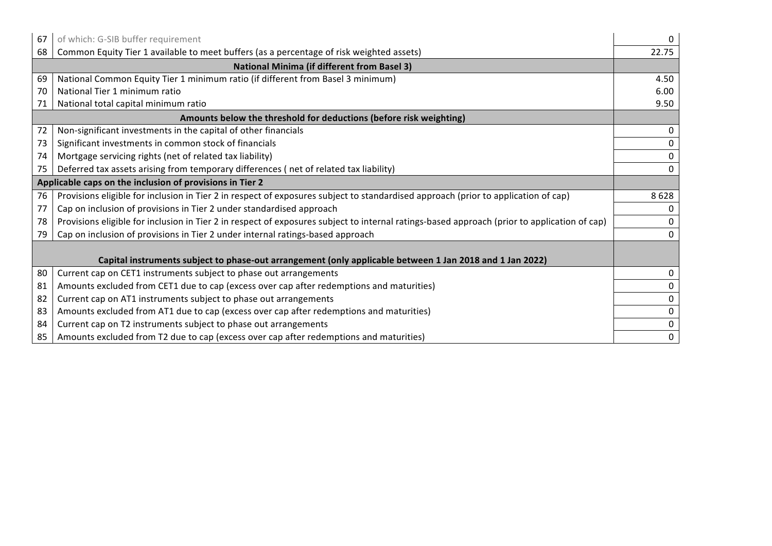| 67                                                                                                       | of which: G-SIB buffer requirement                                                                                                           | 0            |  |
|----------------------------------------------------------------------------------------------------------|----------------------------------------------------------------------------------------------------------------------------------------------|--------------|--|
| 68                                                                                                       | Common Equity Tier 1 available to meet buffers (as a percentage of risk weighted assets)                                                     | 22.75        |  |
|                                                                                                          | <b>National Minima (if different from Basel 3)</b>                                                                                           |              |  |
| 69                                                                                                       | National Common Equity Tier 1 minimum ratio (if different from Basel 3 minimum)                                                              | 4.50         |  |
| 70                                                                                                       | National Tier 1 minimum ratio                                                                                                                | 6.00         |  |
| 71                                                                                                       | National total capital minimum ratio                                                                                                         | 9.50         |  |
|                                                                                                          | Amounts below the threshold for deductions (before risk weighting)                                                                           |              |  |
| 72                                                                                                       | Non-significant investments in the capital of other financials                                                                               | 0            |  |
| 73                                                                                                       | Significant investments in common stock of financials                                                                                        | 0            |  |
| 74                                                                                                       | Mortgage servicing rights (net of related tax liability)                                                                                     | $\mathbf{0}$ |  |
| 75                                                                                                       | Deferred tax assets arising from temporary differences (net of related tax liability)                                                        | 0            |  |
| Applicable caps on the inclusion of provisions in Tier 2                                                 |                                                                                                                                              |              |  |
| 76                                                                                                       | Provisions eligible for inclusion in Tier 2 in respect of exposures subject to standardised approach (prior to application of cap)           | 8628         |  |
| 77                                                                                                       | Cap on inclusion of provisions in Tier 2 under standardised approach                                                                         |              |  |
| 78                                                                                                       | Provisions eligible for inclusion in Tier 2 in respect of exposures subject to internal ratings-based approach (prior to application of cap) |              |  |
| 79                                                                                                       | Cap on inclusion of provisions in Tier 2 under internal ratings-based approach                                                               | 0            |  |
|                                                                                                          |                                                                                                                                              |              |  |
| Capital instruments subject to phase-out arrangement (only applicable between 1 Jan 2018 and 1 Jan 2022) |                                                                                                                                              |              |  |
| 80                                                                                                       | Current cap on CET1 instruments subject to phase out arrangements                                                                            | 0            |  |
| 81                                                                                                       | Amounts excluded from CET1 due to cap (excess over cap after redemptions and maturities)                                                     |              |  |
| 82                                                                                                       | Current cap on AT1 instruments subject to phase out arrangements                                                                             | 0            |  |
| 83                                                                                                       | Amounts excluded from AT1 due to cap (excess over cap after redemptions and maturities)                                                      | 0            |  |
| 84                                                                                                       | Current cap on T2 instruments subject to phase out arrangements                                                                              | 0            |  |
| 85                                                                                                       | Amounts excluded from T2 due to cap (excess over cap after redemptions and maturities)                                                       | 0            |  |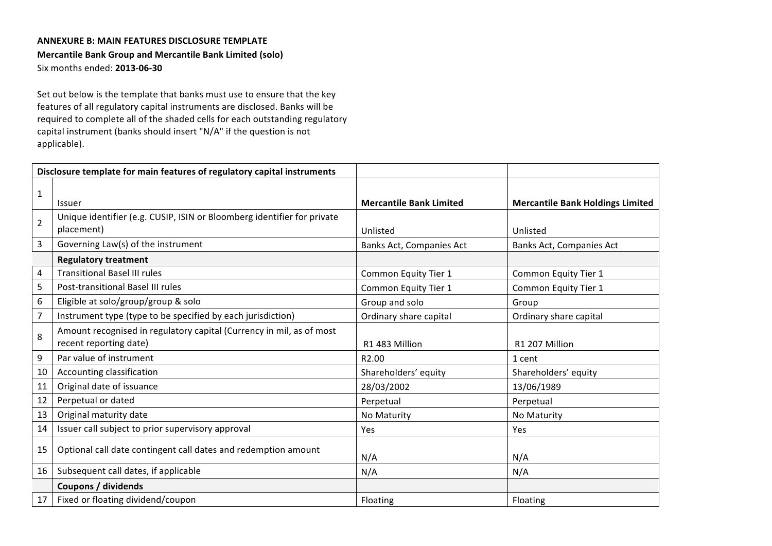## **ANNEXURE B: MAIN FEATURES DISCLOSURE TEMPLATE**

### **Mercantile Bank Group and Mercantile Bank Limited (solo)**

Six months ended: **2013-06-30**

Set out below is the template that banks must use to ensure that the key features of all regulatory capital instruments are disclosed. Banks will be required to complete all of the shaded cells for each outstanding regulatory capital instrument (banks should insert "N/A" if the question is not applicable).

|                | Disclosure template for main features of regulatory capital instruments                        |                                |                                         |
|----------------|------------------------------------------------------------------------------------------------|--------------------------------|-----------------------------------------|
| $\mathbf{1}$   | Issuer                                                                                         | <b>Mercantile Bank Limited</b> | <b>Mercantile Bank Holdings Limited</b> |
| $\overline{2}$ | Unique identifier (e.g. CUSIP, ISIN or Bloomberg identifier for private<br>placement)          | Unlisted                       | Unlisted                                |
| 3              | Governing Law(s) of the instrument                                                             | Banks Act, Companies Act       | Banks Act, Companies Act                |
|                | <b>Regulatory treatment</b>                                                                    |                                |                                         |
| 4              | <b>Transitional Basel III rules</b>                                                            | Common Equity Tier 1           | Common Equity Tier 1                    |
| 5              | Post-transitional Basel III rules                                                              | Common Equity Tier 1           | Common Equity Tier 1                    |
| 6              | Eligible at solo/group/group & solo                                                            | Group and solo                 | Group                                   |
| $\overline{7}$ | Instrument type (type to be specified by each jurisdiction)                                    | Ordinary share capital         | Ordinary share capital                  |
| 8              | Amount recognised in regulatory capital (Currency in mil, as of most<br>recent reporting date) | R1 483 Million                 | R1 207 Million                          |
| 9              | Par value of instrument                                                                        | R <sub>2.00</sub>              | 1 cent                                  |
| 10             | Accounting classification                                                                      | Shareholders' equity           | Shareholders' equity                    |
| 11             | Original date of issuance                                                                      | 28/03/2002                     | 13/06/1989                              |
| 12             | Perpetual or dated                                                                             | Perpetual                      | Perpetual                               |
| 13             | Original maturity date                                                                         | No Maturity                    | No Maturity                             |
| 14             | Issuer call subject to prior supervisory approval                                              | Yes                            | Yes                                     |
| 15             | Optional call date contingent call dates and redemption amount                                 | N/A                            | N/A                                     |
| 16             | Subsequent call dates, if applicable                                                           | N/A                            | N/A                                     |
|                | Coupons / dividends                                                                            |                                |                                         |
| 17             | Fixed or floating dividend/coupon                                                              | Floating                       | Floating                                |